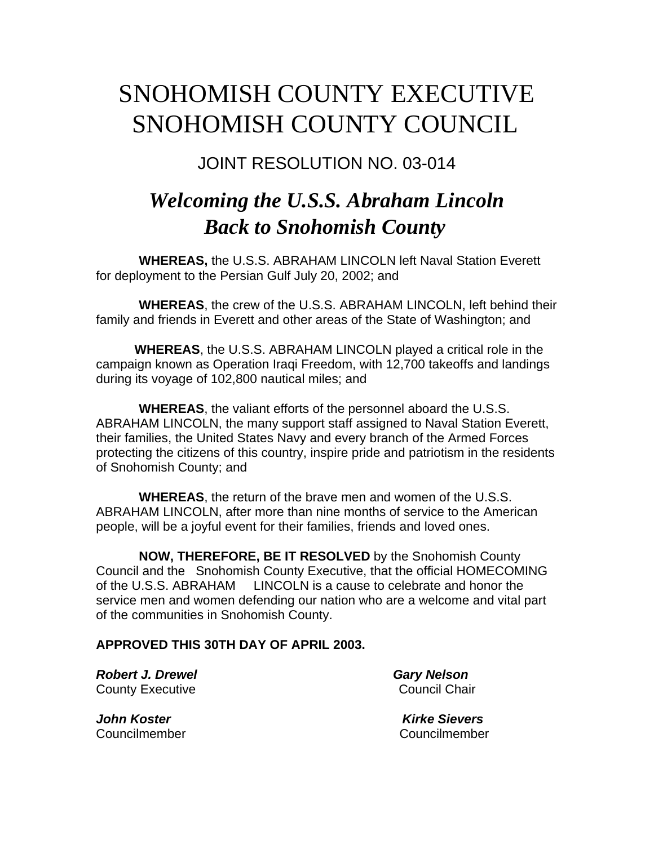## SNOHOMISH COUNTY EXECUTIVE SNOHOMISH COUNTY COUNCIL

JOINT RESOLUTION NO. 03-014

## *Welcoming the U.S.S. Abraham Lincoln Back to Snohomish County*

**WHEREAS,** the U.S.S. ABRAHAM LINCOLN left Naval Station Everett for deployment to the Persian Gulf July 20, 2002; and

 **WHEREAS**, the crew of the U.S.S. ABRAHAM LINCOLN, left behind their family and friends in Everett and other areas of the State of Washington; and

**WHEREAS**, the U.S.S. ABRAHAM LINCOLN played a critical role in the campaign known as Operation Iraqi Freedom, with 12,700 takeoffs and landings during its voyage of 102,800 nautical miles; and

 **WHEREAS**, the valiant efforts of the personnel aboard the U.S.S. ABRAHAM LINCOLN, the many support staff assigned to Naval Station Everett, their families, the United States Navy and every branch of the Armed Forces protecting the citizens of this country, inspire pride and patriotism in the residents of Snohomish County; and

 **WHEREAS**, the return of the brave men and women of the U.S.S. ABRAHAM LINCOLN, after more than nine months of service to the American people, will be a joyful event for their families, friends and loved ones.

 **NOW, THEREFORE, BE IT RESOLVED** by the Snohomish County Council and the Snohomish County Executive, that the official HOMECOMING of the U.S.S. ABRAHAM LINCOLN is a cause to celebrate and honor the service men and women defending our nation who are a welcome and vital part of the communities in Snohomish County.

**APPROVED THIS 30TH DAY OF APRIL 2003.**

**Robert J. Drewel Cary Nelson County Executive Council Chair** 

*John Koster Kirke Sievers* Councilmember Councilmember